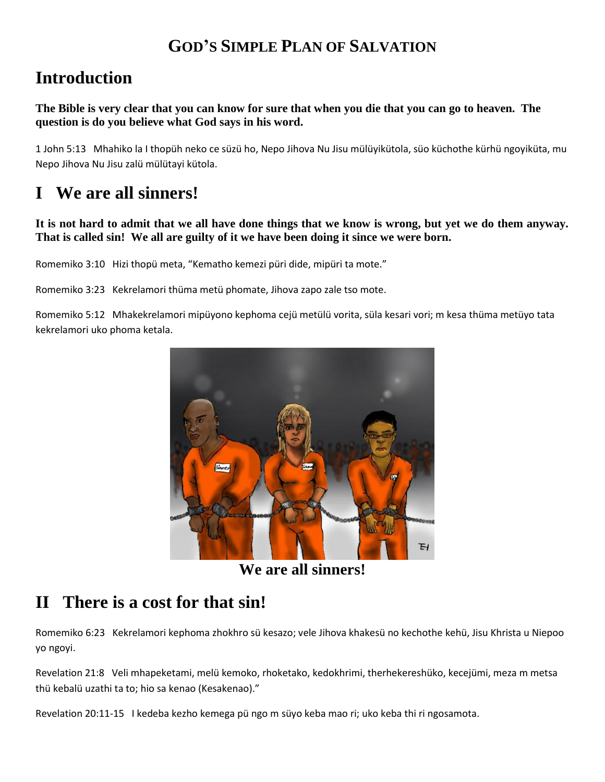### **GOD'S SIMPLE PLAN OF SALVATION**

## **Introduction**

**The Bible is very clear that you can know for sure that when you die that you can go to heaven. The question is do you believe what God says in his word.**

1 John 5:13 Mhahiko la I thopüh neko ce süzü ho, Nepo Jihova Nu Jisu mülüyikütola, süo küchothe kürhü ngoyiküta, mu Nepo Jihova Nu Jisu zalü mülütayi kütola.

# **I We are all sinners!**

#### **It is not hard to admit that we all have done things that we know is wrong, but yet we do them anyway. That is called sin! We all are guilty of it we have been doing it since we were born.**

Romemiko 3:10 Hizi thopü meta, "Kematho kemezi püri dide, mipüri ta mote."

Romemiko 3:23 Kekrelamori thüma metü phomate, Jihova zapo zale tso mote.

Romemiko 5:12 Mhakekrelamori mipüyono kephoma cejü metülü vorita, süla kesari vori; m kesa thüma metüyo tata kekrelamori uko phoma ketala.



**We are all sinners!**

## **II There is a cost for that sin!**

Romemiko 6:23 Kekrelamori kephoma zhokhro sü kesazo; vele Jihova khakesü no kechothe kehü, Jisu Khrista u Niepoo yo ngoyi.

Revelation 21:8 Veli mhapeketami, melü kemoko, rhoketako, kedokhrimi, therhekereshüko, kecejümi, meza m metsa thü kebalü uzathi ta to; hio sa kenao (Kesakenao)."

Revelation 20:11-15 I kedeba kezho kemega pü ngo m süyo keba mao ri; uko keba thi ri ngosamota.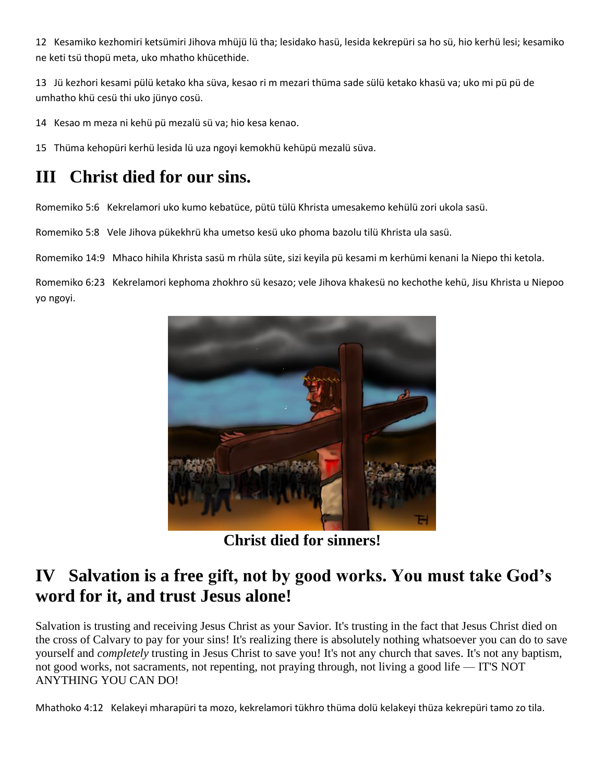12 Kesamiko kezhomiri ketsümiri Jihova mhüjü lü tha; lesidako hasü, lesida kekrepüri sa ho sü, hio kerhü lesi; kesamiko ne keti tsü thopü meta, uko mhatho khücethide.

13 Jü kezhori kesami pülü ketako kha süva, kesao ri m mezari thüma sade sülü ketako khasü va; uko mi pü pü de umhatho khü cesü thi uko jünyo cosü.

14 Kesao m meza ni kehü pü mezalü sü va; hio kesa kenao.

15 Thüma kehopüri kerhü lesida lü uza ngoyi kemokhü kehüpü mezalü süva.

# **III Christ died for our sins.**

Romemiko 5:6 Kekrelamori uko kumo kebatüce, pütü tülü Khrista umesakemo kehülü zori ukola sasü.

Romemiko 5:8 Vele Jihova pükekhrü kha umetso kesü uko phoma bazolu tilü Khrista ula sasü.

Romemiko 14:9 Mhaco hihila Khrista sasü m rhüla süte, sizi keyila pü kesami m kerhümi kenani la Niepo thi ketola.

Romemiko 6:23 Kekrelamori kephoma zhokhro sü kesazo; vele Jihova khakesü no kechothe kehü, Jisu Khrista u Niepoo yo ngoyi.



**Christ died for sinners!**

#### **IV Salvation is a free gift, not by good works. You must take God's word for it, and trust Jesus alone!**

Salvation is trusting and receiving Jesus Christ as your Savior. It's trusting in the fact that Jesus Christ died on the cross of Calvary to pay for your sins! It's realizing there is absolutely nothing whatsoever you can do to save yourself and *completely* trusting in Jesus Christ to save you! It's not any church that saves. It's not any baptism, not good works, not sacraments, not repenting, not praying through, not living a good life — IT'S NOT ANYTHING YOU CAN DO!

Mhathoko 4:12 Kelakeyi mharapüri ta mozo, kekrelamori tükhro thüma dolü kelakeyi thüza kekrepüri tamo zo tila.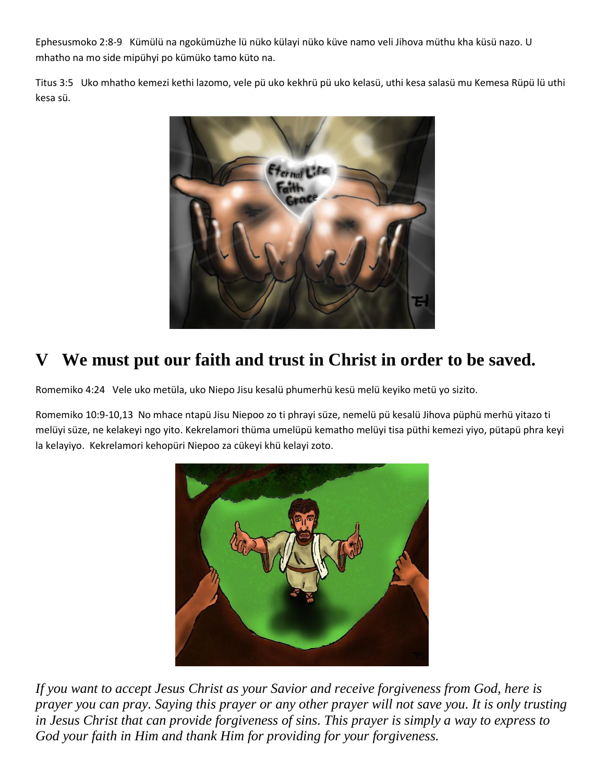Ephesusmoko 2:8-9 Kümülü na ngokümüzhe lü nüko külayi nüko küve namo veli Jihova müthu kha küsü nazo. U mhatho na mo side mipühyi po kümüko tamo küto na.

Titus 3:5 Uko mhatho kemezi kethi lazomo, vele pü uko kekhrü pü uko kelasü, uthi kesa salasü mu Kemesa Rüpü lü uthi kesa sü.



# **V We must put our faith and trust in Christ in order to be saved.**

Romemiko 4:24 Vele uko metüla, uko Niepo Jisu kesalü phumerhü kesü melü keyiko metü yo sizito.

Romemiko 10:9-10,13 No mhace ntapü Jisu Niepoo zo ti phrayi süze, nemelü pü kesalü Jihova püphü merhü yitazo ti melüyi süze, ne kelakeyi ngo yito. Kekrelamori thüma umelüpü kematho melüyi tisa püthi kemezi yiyo, pütapü phra keyi la kelayiyo. Kekrelamori kehopüri Niepoo za cükeyi khü kelayi zoto.



*If you want to accept Jesus Christ as your Savior and receive forgiveness from God, here is prayer you can pray. Saying this prayer or any other prayer will not save you. It is only trusting in Jesus Christ that can provide forgiveness of sins. This prayer is simply a way to express to God your faith in Him and thank Him for providing for your forgiveness.*